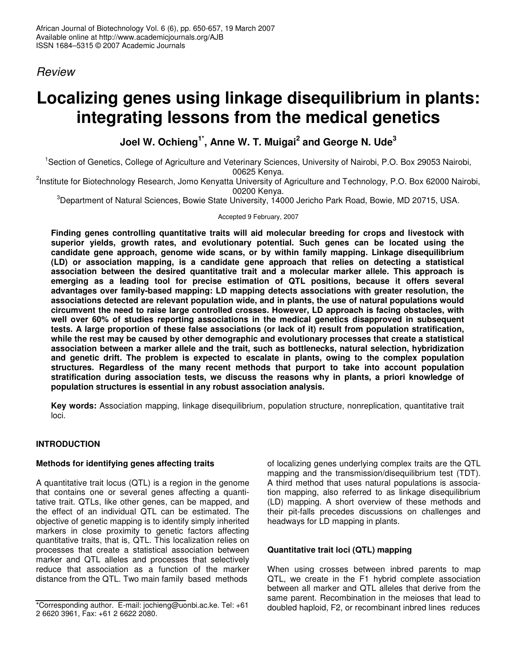# *Review*

# **Localizing genes using linkage disequilibrium in plants: integrating lessons from the medical genetics**

**Joel W. Ochieng 1\* , Anne W. T. Muigai 2 and George N. Ude 3**

<sup>1</sup>Section of Genetics, College of Agriculture and Veterinary Sciences, University of Nairobi, P.O. Box 29053 Nairobi, 00625 Kenya.

<sup>2</sup>Institute for Biotechnology Research, Jomo Kenyatta University of Agriculture and Technology, P.O. Box 62000 Nairobi, 00200 Kenya.

<sup>3</sup>Department of Natural Sciences, Bowie State University, 14000 Jericho Park Road, Bowie, MD 20715, USA.

Accepted 9 February, 2007

**Finding genes controlling quantitative traits will aid molecular breeding for crops and livestock with superior yields, growth rates, and evolutionary potential. Such genes can be located using the candidate gene approach, genome wide scans, or by within family mapping. Linkage disequilibrium (LD) or association mapping, is a candidate gene approach that relies on detecting a statistical association between the desired quantitative trait and a molecular marker allele. This approach is emerging as a leading tool for precise estimation of QTL positions, because it offers several advantages over family-based mapping: LD mapping detects associations with greater resolution, the associations detected are relevant population wide, and in plants, the use of natural populations would circumvent the need to raise large controlled crosses. However, LD approach is facing obstacles, with well over 60% of studies reporting associations in the medical genetics disapproved in subsequent tests. A large proportion of these false associations (or lack of it) result from population stratification, while the rest may be caused by other demographic and evolutionary processes that create a statistical association between a marker allele and the trait, such as bottlenecks, natural selection, hybridization and genetic drift. The problem is expected to escalate in plants, owing to the complex population structures. Regardless of the many recent methods that purport to take into account population stratification during association tests, we discuss the reasons why in plants, a priori knowledge of population structures is essential in any robust association analysis.**

**Key words:** Association mapping, linkage disequilibrium, population structure, nonreplication, quantitative trait loci.

# **INTRODUCTION**

# **Methods for identifying genes affecting traits**

A quantitative trait locus (QTL) is a region in the genome that contains one or several genes affecting a quantitative trait. QTLs, like other genes, can be mapped, and the effect of an individual QTL can be estimated. The objective of genetic mapping is to identify simply inherited markers in close proximity to genetic factors affecting quantitative traits, that is, QTL. This localization relies on processes that create a statistical association between marker and QTL alleles and processes that selectively reduce that association as a function of the marker distance from the QTL. Two main family based methods

of localizing genes underlying complex traits are the QTL mapping and the transmission/disequilibrium test (TDT). A third method that uses natural populations is association mapping, also referred to as linkage disequilibrium (LD) mapping. A short overview of these methods and their pit-falls precedes discussions on challenges and headways for LD mapping in plants.

# **Quantitative trait loci (QTL) mapping**

When using crosses between inbred parents to map QTL, we create in the F1 hybrid complete association between all marker and QTL alleles that derive from the same parent. Recombination in the meioses that lead to doubled haploid, F2, or recombinant inbred lines reduces

<sup>\*</sup>Corresponding author. E-mail: jochieng@uonbi.ac.ke. Tel: +61 2 6620 3961, Fax: +61 2 6622 2080.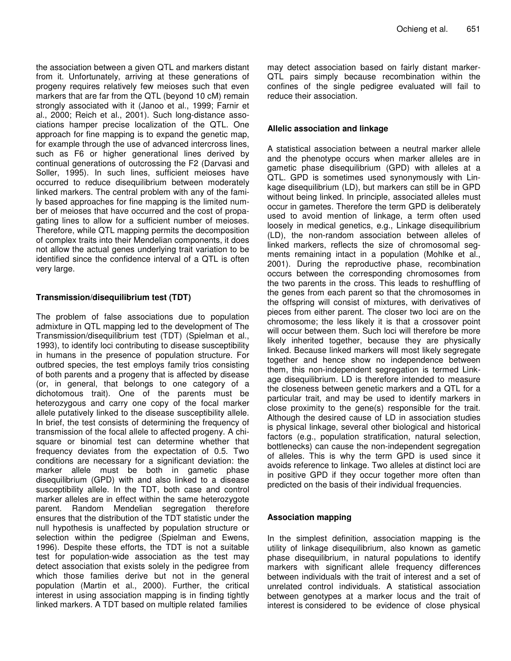the association between a given QTL and markers distant from it. Unfortunately, arriving at these generations of progeny requires relatively few meioses such that even markers that are far from the QTL (beyond 10 cM) remain strongly associated with it (Janoo et al., 1999; Farnir et al., 2000; Reich et al., 2001). Such long-distance associations hamper precise localization of the QTL. One approach for fine mapping is to expand the genetic map, for example through the use of advanced intercross lines, such as F6 or higher generational lines derived by continual generations of outcrossing the F2 (Darvasi and Soller, 1995). In such lines, sufficient meioses have occurred to reduce disequilibrium between moderately linked markers. The central problem with any of the family based approaches for fine mapping is the limited number of meioses that have occurred and the cost of propagating lines to allow for a sufficient number of meioses. Therefore, while QTL mapping permits the decomposition of complex traits into their Mendelian components, it does not allow the actual genes underlying trait variation to be identified since the confidence interval of a QTL is often very large.

#### **Transmission/disequilibrium test (TDT)**

The problem of false associations due to population admixture in QTL mapping led to the development of The Transmission/disequilibrium test (TDT) (Spielman et al., 1993), to identify loci contributing to disease susceptibility in humans in the presence of population structure. For outbred species, the test employs family trios consisting of both parents and a progeny that is affected by disease (or, in general, that belongs to one category of a dichotomous trait). One of the parents must be heterozygous and carry one copy of the focal marker allele putatively linked to the disease susceptibility allele. In brief, the test consists of determining the frequency of transmission of the focal allele to affected progeny. A chisquare or binomial test can determine whether that frequency deviates from the expectation of 0.5. Two conditions are necessary for a significant deviation: the marker allele must be both in gametic phase disequilibrium (GPD) with and also linked to a disease susceptibility allele. In the TDT, both case and control marker alleles are in effect within the same heterozygote parent. Random Mendelian segregation therefore ensures that the distribution of the TDT statistic under the null hypothesis is unaffected by population structure or selection within the pedigree (Spielman and Ewens, 1996). Despite these efforts, the TDT is not a suitable test for population-wide association as the test may detect association that exists solely in the pedigree from which those families derive but not in the general population (Martin et al., 2000). Further, the critical interest in using association mapping is in finding tightly linked markers. A TDT based on multiple related families

may detect association based on fairly distant marker-QTL pairs simply because recombination within the confines of the single pedigree evaluated will fail to reduce their association.

#### **Allelic association and linkage**

A statistical association between a neutral marker allele and the phenotype occurs when marker alleles are in gametic phase disequilibrium (GPD) with alleles at a QTL. GPD is sometimes used synonymously with Linkage disequilibrium (LD), but markers can still be in GPD without being linked. In principle, associated alleles must occur in gametes. Therefore the term GPD is deliberately used to avoid mention of linkage, a term often used loosely in medical genetics, e.g., Linkage disequilibrium (LD), the non-random association between alleles of linked markers, reflects the size of chromosomal segments remaining intact in a population (Mohlke et al., 2001). During the reproductive phase, recombination occurs between the corresponding chromosomes from the two parents in the cross. This leads to reshuffling of the genes from each parent so that the chromosomes in the offspring will consist of mixtures, with derivatives of pieces from either parent. The closer two loci are on the chromosome; the less likely it is that a crossover point will occur between them. Such loci will therefore be more likely inherited together, because they are physically linked. Because linked markers will most likely segregate together and hence show no independence between them, this non-independent segregation is termed Linkage disequilibrium. LD is therefore intended to measure the closeness between genetic markers and a QTL for a particular trait, and may be used to identify markers in close proximity to the gene(s) responsible for the trait. Although the desired cause of LD in association studies is physical linkage, several other biological and historical factors (e.g., population stratification, natural selection, bottlenecks) can cause the non-independent segregation of alleles. This is why the term GPD is used since it avoids reference to linkage. Two alleles at distinct loci are in positive GPD if they occur together more often than predicted on the basis of their individual frequencies.

#### **Association mapping**

In the simplest definition, association mapping is the utility of linkage disequilibrium, also known as gametic phase disequilibrium, in natural populations to identify markers with significant allele frequency differences between individuals with the trait of interest and a set of unrelated control individuals. A statistical association between genotypes at a marker locus and the trait of interest is considered to be evidence of close physical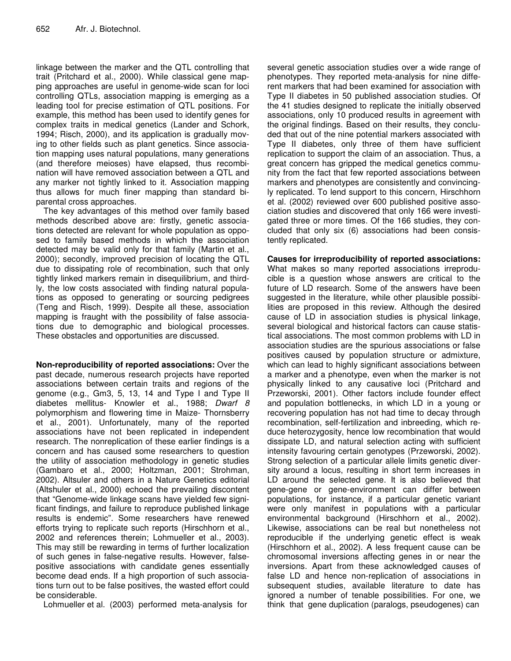linkage between the marker and the QTL controlling that trait (Pritchard et al., 2000). While classical gene mapping approaches are useful in genome-wide scan for loci controlling QTLs, association mapping is emerging as a leading tool for precise estimation of QTL positions. For example, this method has been used to identify genes for complex traits in medical genetics (Lander and Schork, 1994; Risch, 2000), and its application is gradually moving to other fields such as plant genetics. Since association mapping uses natural populations, many generations (and therefore meioses) have elapsed, thus recombination will have removed association between a QTL and any marker not tightly linked to it. Association mapping thus allows for much finer mapping than standard biparental cross approaches.

The key advantages of this method over family based methods described above are: firstly, genetic associations detected are relevant for whole population as opposed to family based methods in which the association detected may be valid only for that family (Martin et al., 2000); secondly, improved precision of locating the QTL due to dissipating role of recombination, such that only tightly linked markers remain in disequilibrium, and thirdly, the low costs associated with finding natural populations as opposed to generating or sourcing pedigrees (Teng and Risch, 1999). Despite all these, association mapping is fraught with the possibility of false associations due to demographic and biological processes. These obstacles and opportunities are discussed.

**Non-reproducibility of reported associations:** Over the past decade, numerous research projects have reported associations between certain traits and regions of the genome (e.g., Gm3, 5, 13, 14 and Type I and Type II diabetes mellitus- Knowler et al., 1988; *Dwarf 8* polymorphism and flowering time in Maize- Thornsberry et al., 2001). Unfortunately, many of the reported associations have not been replicated in independent research. The nonreplication of these earlier findings is a concern and has caused some researchers to question the utility of association methodology in genetic studies (Gambaro et al., 2000; Holtzman, 2001; Strohman, 2002). Altsuler and others in a Nature Genetics editorial (Altshuler et al., 2000) echoed the prevailing discontent that "Genome-wide linkage scans have yielded few significant findings, and failure to reproduce published linkage results is endemic". Some researchers have renewed efforts trying to replicate such reports (Hirschhorn et al., 2002 and references therein; Lohmueller et al., 2003). This may still be rewarding in terms of further localization of such genes in false-negative results. However, falsepositive associations with candidate genes essentially become dead ends. If a high proportion of such associations turn out to be false positives, the wasted effort could be considerable.

Lohmueller et al. (2003) performed meta-analysis for

several genetic association studies over a wide range of phenotypes. They reported meta-analysis for nine different markers that had been examined for association with Type II diabetes in 50 published association studies. Of the 41 studies designed to replicate the initially observed associations, only 10 produced results in agreement with the original findings. Based on their results, they concluded that out of the nine potential markers associated with Type II diabetes, only three of them have sufficient replication to support the claim of an association. Thus, a great concern has gripped the medical genetics community from the fact that few reported associations between markers and phenotypes are consistently and convincingly replicated. To lend support to this concern, Hirschhorn et al. (2002) reviewed over 600 published positive association studies and discovered that only 166 were investigated three or more times. Of the 166 studies, they concluded that only six (6) associations had been consistently replicated.

**Causes for irreproducibility of reported associations:** What makes so many reported associations irreproducible is a question whose answers are critical to the future of LD research. Some of the answers have been suggested in the literature, while other plausible possibilities are proposed in this review. Although the desired cause of LD in association studies is physical linkage, several biological and historical factors can cause statistical associations. The most common problems with LD in association studies are the spurious associations or false positives caused by population structure or admixture, which can lead to highly significant associations between a marker and a phenotype, even when the marker is not physically linked to any causative loci (Pritchard and Przeworski, 2001). Other factors include founder effect and population bottlenecks, in which LD in a young or recovering population has not had time to decay through recombination, self-fertilization and inbreeding, which reduce heterozygosity, hence low recombination that would dissipate LD, and natural selection acting with sufficient intensity favouring certain genotypes (Przeworski, 2002). Strong selection of a particular allele limits genetic diversity around a locus, resulting in short term increases in LD around the selected gene. It is also believed that gene-gene or gene-environment can differ between populations, for instance, if a particular genetic variant were only manifest in populations with a particular environmental background (Hirschhorn et al., 2002). Likewise, associations can be real but nonetheless not reproducible if the underlying genetic effect is weak (Hirschhorn et al., 2002). A less frequent cause can be chromosomal inversions affecting genes in or near the inversions. Apart from these acknowledged causes of false LD and hence non-replication of associations in subsequent studies, available literature to date has ignored a number of tenable possibilities. For one, we think that gene duplication (paralogs, pseudogenes) can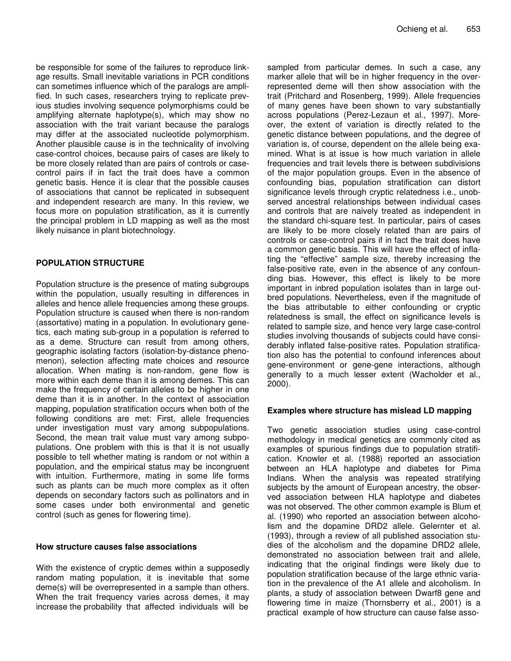be responsible for some of the failures to reproduce linkage results. Small inevitable variations in PCR conditions can sometimes influence which of the paralogs are amplified. In such cases, researchers trying to replicate previous studies involving sequence polymorphisms could be amplifying alternate haplotype(s), which may show no association with the trait variant because the paralogs may differ at the associated nucleotide polymorphism. Another plausible cause is in the technicality of involving case-control choices, because pairs of cases are likely to be more closely related than are pairs of controls or casecontrol pairs if in fact the trait does have a common genetic basis. Hence it is clear that the possible causes of associations that cannot be replicated in subsequent and independent research are many. In this review, we focus more on population stratification, as it is currently the principal problem in LD mapping as well as the most likely nuisance in plant biotechnology.

#### **POPULATION STRUCTURE**

Population structure is the presence of mating subgroups within the population, usually resulting in differences in alleles and hence allele frequencies among these groups. Population structure is caused when there is non-random (assortative) mating in a population. In evolutionary genetics, each mating sub-group in a population is referred to as a deme. Structure can result from among others, geographic isolating factors (isolation-by-distance phenomenon), selection affecting mate choices and resource allocation. When mating is non-random, gene flow is more within each deme than it is among demes. This can make the frequency of certain alleles to be higher in one deme than it is in another. In the context of association mapping, population stratification occurs when both of the following conditions are met: First, allele frequencies under investigation must vary among subpopulations. Second, the mean trait value must vary among subpopulations. One problem with this is that it is not usually possible to tell whether mating is random or not within a population, and the empirical status may be incongruent with intuition. Furthermore, mating in some life forms such as plants can be much more complex as it often depends on secondary factors such as pollinators and in some cases under both environmental and genetic control (such as genes for flowering time).

#### **How structure causes false associations**

With the existence of cryptic demes within a supposedly random mating population, it is inevitable that some deme(s) will be overrepresented in a sample than others. When the trait frequency varies across demes, it may increase the probability that affected individuals will be

sampled from particular demes. In such a case, any marker allele that will be in higher frequency in the overrepresented deme will then show association with the trait (Pritchard and Rosenberg, 1999). Allele frequencies of many genes have been shown to vary substantially across populations (Perez-Lezaun et al., 1997). Moreover, the extent of variation is directly related to the genetic distance between populations, and the degree of variation is, of course, dependent on the allele being examined. What is at issue is how much variation in allele frequencies and trait levels there is between subdivisions of the major population groups. Even in the absence of confounding bias, population stratification can distort significance levels through cryptic relatedness i.e., unobserved ancestral relationships between individual cases and controls that are naively treated as independent in the standard chi-square test. In particular, pairs of cases are likely to be more closely related than are pairs of controls or case-control pairs if in fact the trait does have a common genetic basis. This will have the effect of inflating the "effective" sample size, thereby increasing the false-positive rate, even in the absence of any confounding bias. However, this effect is likely to be more important in inbred population isolates than in large outbred populations. Nevertheless, even if the magnitude of the bias attributable to either confounding or cryptic relatedness is small, the effect on significance levels is related to sample size, and hence very large case-control studies involving thousands of subjects could have considerably inflated false-positive rates. Population stratification also has the potential to confound inferences about gene-environment or gene-gene interactions, although generally to a much lesser extent (Wacholder et al., 2000).

#### **Examples where structure has mislead LD mapping**

Two genetic association studies using case-control methodology in medical genetics are commonly cited as examples of spurious findings due to population stratification. Knowler et al. (1988) reported an association between an HLA haplotype and diabetes for Pima Indians. When the analysis was repeated stratifying subjects by the amount of European ancestry, the observed association between HLA haplotype and diabetes was not observed. The other common example is Blum et al. (1990) who reported an association between alcoholism and the dopamine DRD2 allele. Gelernter et al. (1993), through a review of all published association studies of the alcoholism and the dopamine DRD2 allele, demonstrated no association between trait and allele, indicating that the original findings were likely due to population stratification because of the large ethnic variation in the prevalence of the A1 allele and alcoholism. In plants, a study of association between Dwarf8 gene and flowering time in maize (Thornsberry et al., 2001) is a practical example of how structure can cause false asso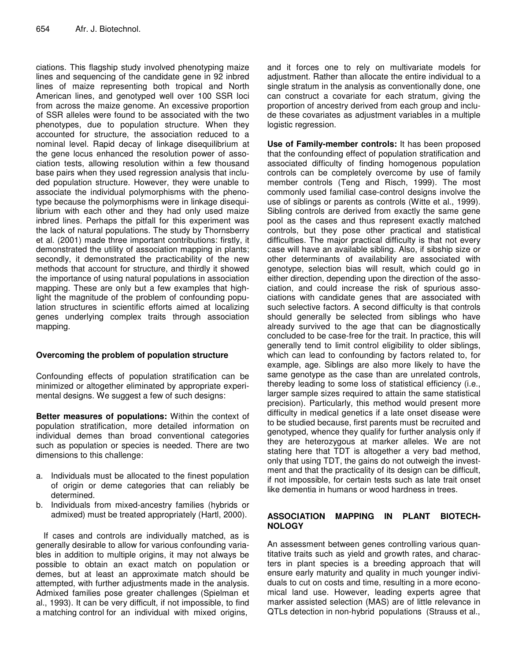ciations. This flagship study involved phenotyping maize lines and sequencing of the candidate gene in 92 inbred lines of maize representing both tropical and North American lines, and genotyped well over 100 SSR loci from across the maize genome. An excessive proportion of SSR alleles were found to be associated with the two phenotypes, due to population structure. When they accounted for structure, the association reduced to a nominal level. Rapid decay of linkage disequilibrium at the gene locus enhanced the resolution power of association tests, allowing resolution within a few thousand base pairs when they used regression analysis that included population structure. However, they were unable to associate the individual polymorphisms with the phenotype because the polymorphisms were in linkage disequilibrium with each other and they had only used maize inbred lines. Perhaps the pitfall for this experiment was the lack of natural populations. The study by Thornsberry et al. (2001) made three important contributions: firstly, it demonstrated the utility of association mapping in plants; secondly, it demonstrated the practicability of the new methods that account for structure, and thirdly it showed the importance of using natural populations in association mapping. These are only but a few examples that highlight the magnitude of the problem of confounding population structures in scientific efforts aimed at localizing genes underlying complex traits through association mapping.

# **Overcoming the problem of population structure**

Confounding effects of population stratification can be minimized or altogether eliminated by appropriate experimental designs. We suggest a few of such designs:

**Better measures of populations:** Within the context of population stratification, more detailed information on individual demes than broad conventional categories such as population or species is needed. There are two dimensions to this challenge:

- a. Individuals must be allocated to the finest population of origin or deme categories that can reliably be determined.
- b. Individuals from mixed-ancestry families (hybrids or admixed) must be treated appropriately (Hartl, 2000).

If cases and controls are individually matched, as is generally desirable to allow for various confounding variables in addition to multiple origins, it may not always be possible to obtain an exact match on population or demes, but at least an approximate match should be attempted, with further adjustments made in the analysis. Admixed families pose greater challenges (Spielman et al., 1993). It can be very difficult, if not impossible, to find a matching control for an individual with mixed origins,

and it forces one to rely on multivariate models for adjustment. Rather than allocate the entire individual to a single stratum in the analysis as conventionally done, one can construct a covariate for each stratum, giving the proportion of ancestry derived from each group and include these covariates as adjustment variables in a multiple logistic regression.

**Use of Family-member controls:** It has been proposed that the confounding effect of population stratification and associated difficulty of finding homogenous population controls can be completely overcome by use of family member controls (Teng and Risch, 1999). The most commonly used familial case-control designs involve the use of siblings or parents as controls (Witte et al., 1999). Sibling controls are derived from exactly the same gene pool as the cases and thus represent exactly matched controls, but they pose other practical and statistical difficulties. The major practical difficulty is that not every case will have an available sibling. Also, if sibship size or other determinants of availability are associated with genotype, selection bias will result, which could go in either direction, depending upon the direction of the association, and could increase the risk of spurious associations with candidate genes that are associated with such selective factors. A second difficulty is that controls should generally be selected from siblings who have already survived to the age that can be diagnostically concluded to be case-free for the trait. In practice, this will generally tend to limit control eligibility to older siblings, which can lead to confounding by factors related to, for example, age. Siblings are also more likely to have the same genotype as the case than are unrelated controls, thereby leading to some loss of statistical efficiency (i.e., larger sample sizes required to attain the same statistical precision). Particularly, this method would present more difficulty in medical genetics if a late onset disease were to be studied because, first parents must be recruited and genotyped, whence they qualify for further analysis only if they are heterozygous at marker alleles. We are not stating here that TDT is altogether a very bad method, only that using TDT, the gains do not outweigh the investment and that the practicality of its design can be difficult, if not impossible, for certain tests such as late trait onset like dementia in humans or wood hardness in trees.

# **ASSOCIATION MAPPING IN PLANT BIOTECH-NOLOGY**

An assessment between genes controlling various quantitative traits such as yield and growth rates, and characters in plant species is a breeding approach that will ensure early maturity and quality in much younger individuals to cut on costs and time, resulting in a more economical land use. However, leading experts agree that marker assisted selection (MAS) are of little relevance in QTLs detection in non-hybrid populations (Strauss et al.,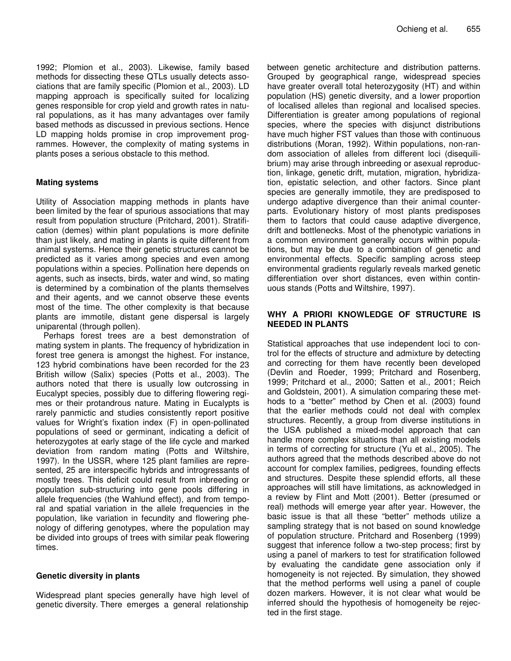1992; Plomion et al., 2003). Likewise, family based methods for dissecting these QTLs usually detects associations that are family specific (Plomion et al., 2003). LD mapping approach is specifically suited for localizing genes responsible for crop yield and growth rates in natural populations, as it has many advantages over family based methods as discussed in previous sections. Hence LD mapping holds promise in crop improvement programmes. However, the complexity of mating systems in plants poses a serious obstacle to this method.

#### **Mating systems**

Utility of Association mapping methods in plants have been limited by the fear of spurious associations that may result from population structure (Pritchard, 2001). Stratification (demes) within plant populations is more definite than just likely, and mating in plants is quite different from animal systems. Hence their genetic structures cannot be predicted as it varies among species and even among populations within a species. Pollination here depends on agents, such as insects, birds, water and wind, so mating is determined by a combination of the plants themselves and their agents, and we cannot observe these events most of the time. The other complexity is that because plants are immotile, distant gene dispersal is largely uniparental (through pollen).

Perhaps forest trees are a best demonstration of mating system in plants. The frequency of hybridization in forest tree genera is amongst the highest. For instance, 123 hybrid combinations have been recorded for the 23 British willow (Salix) species (Potts et al., 2003). The authors noted that there is usually low outcrossing in Eucalypt species, possibly due to differing flowering regimes or their protandrous nature. Mating in Eucalypts is rarely panmictic and studies consistently report positive values for Wright's fixation index (F) in open-pollinated populations of seed or germinant, indicating a deficit of heterozygotes at early stage of the life cycle and marked deviation from random mating (Potts and Wiltshire, 1997). In the USSR, where 125 plant families are represented, 25 are interspecific hybrids and introgressants of mostly trees. This deficit could result from inbreeding or population sub-structuring into gene pools differing in allele frequencies (the Wahlund effect), and from temporal and spatial variation in the allele frequencies in the population, like variation in fecundity and flowering phenology of differing genotypes, where the population may be divided into groups of trees with similar peak flowering times.

# **Genetic diversity in plants**

Widespread plant species generally have high level of genetic diversity. There emerges a general relationship

between genetic architecture and distribution patterns. Grouped by geographical range, widespread species have greater overall total heterozygosity (HT) and within population (HS) genetic diversity, and a lower proportion of localised alleles than regional and localised species. Differentiation is greater among populations of regional species, where the species with disjunct distributions have much higher FST values than those with continuous distributions (Moran, 1992). Within populations, non-random association of alleles from different loci (disequilibrium) may arise through inbreeding or asexual reproduction, linkage, genetic drift, mutation, migration, hybridization, epistatic selection, and other factors. Since plant species are generally immotile, they are predisposed to undergo adaptive divergence than their animal counterparts. Evolutionary history of most plants predisposes them to factors that could cause adaptive divergence, drift and bottlenecks. Most of the phenotypic variations in a common environment generally occurs within populations, but may be due to a combination of genetic and environmental effects. Specific sampling across steep environmental gradients regularly reveals marked genetic differentiation over short distances, even within continuous stands (Potts and Wiltshire, 1997).

#### **WHY A PRIORI KNOWLEDGE OF STRUCTURE IS NEEDED IN PLANTS**

Statistical approaches that use independent loci to control for the effects of structure and admixture by detecting and correcting for them have recently been developed (Devlin and Roeder, 1999; Pritchard and Rosenberg, 1999; Pritchard et al., 2000; Satten et al., 2001; Reich and Goldstein, 2001). A simulation comparing these methods to a "better" method by Chen et al. (2003) found that the earlier methods could not deal with complex structures. Recently, a group from diverse institutions in the USA published a mixed-model approach that can handle more complex situations than all existing models in terms of correcting for structure (Yu et al., 2005). The authors agreed that the methods described above do not account for complex families, pedigrees, founding effects and structures. Despite these splendid efforts, all these approaches will still have limitations, as acknowledged in a review by Flint and Mott (2001). Better (presumed or real) methods will emerge year after year. However, the basic issue is that all these "better" methods utilize a sampling strategy that is not based on sound knowledge of population structure. Pritchard and Rosenberg (1999) suggest that inference follow a two-step process; first by using a panel of markers to test for stratification followed by evaluating the candidate gene association only if homogeneity is not rejected. By simulation, they showed that the method performs well using a panel of couple dozen markers. However, it is not clear what would be inferred should the hypothesis of homogeneity be rejected in the first stage.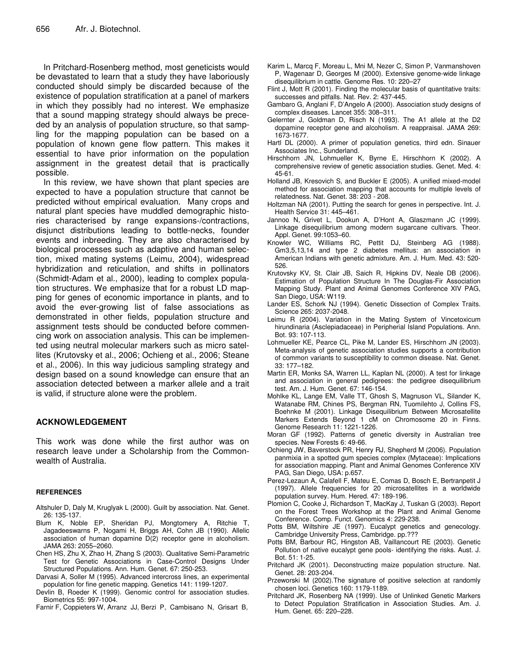In Pritchard-Rosenberg method, most geneticists would be devastated to learn that a study they have laboriously conducted should simply be discarded because of the existence of population stratification at a panel of markers in which they possibly had no interest. We emphasize that a sound mapping strategy should always be preceded by an analysis of population structure, so that sampling for the mapping population can be based on a population of known gene flow pattern. This makes it essential to have prior information on the population assignment in the greatest detail that is practically possible.

In this review, we have shown that plant species are expected to have a population structure that cannot be predicted without empirical evaluation. Many crops and natural plant species have muddled demographic histories characterised by range expansions-/contractions, disjunct distributions leading to bottle-necks, founder events and inbreeding. They are also characterised by biological processes such as adaptive and human selection, mixed mating systems (Leimu, 2004), widespread hybridization and reticulation, and shifts in pollinators (Schmidt-Adam et al., 2000), leading to complex population structures. We emphasize that for a robust LD mapping for genes of economic importance in plants, and to avoid the ever-growing list of false associations as demonstrated in other fields, population structure and assignment tests should be conducted before commencing work on association analysis. This can be implemented using neutral molecular markers such as micro satellites (Krutovsky et al., 2006; Ochieng et al., 2006; Steane et al., 2006). In this way judicious sampling strategy and design based on a sound knowledge can ensure that an association detected between a marker allele and a trait is valid, if structure alone were the problem.

#### **ACKNOWLEDGEMENT**

This work was done while the first author was on research leave under a Scholarship from the Commonwealth of Australia.

#### **REFERENCES**

- Altshuler D, Daly M, Kruglyak L (2000). Guilt by association. Nat. Genet. 26: 135-137.
- Blum K, Noble EP, Sheridan PJ, Mongtomery A, Ritchie T, Jagadeeswarns P, Nogami H, Briggs AH, Cohn JB (1990). Allelic association of human dopamine D(2) receptor gene in alcoholism. JAMA 263: 2055–2060.
- Chen HS, Zhu X, Zhao H, Zhang S (2003). Qualitative Semi-Parametric Test for Genetic Associations in Case-Control Designs Under Structured Populations. Ann. Hum. Genet. 67: 250-253.
- Darvasi A, Soller M (1995). Advanced intercross lines, an experimental population for fine genetic mapping. Genetics 141: 1199-1207.
- Devlin B, Roeder K (1999). Genomic control for association studies. Biometrics 55: 997-1004.
- Farnir F, Coppieters W, Arranz JJ, Berzi P, Cambisano N, Grisart B,
- Karim L, Marcq F, Moreau L, Mni M, Nezer C, Simon P, Vanmanshoven P, Wagenaar D, Georges M (2000). Extensive genome-wide linkage disequilibrium in cattle. Genome Res. 10: 220–27
- Flint J, Mott R (2001). Finding the molecular basis of quantitative traits: successes and pitfalls. Nat. Rev. 2: 437-445.
- Gambaro G, Anglani F, D'Angelo A (2000). Association study designs of complex diseases. Lancet 355: 308–311.
- Gelernter J, Goldman D, Risch N (1993). The A1 allele at the D2 dopamine receptor gene and alcoholism. A reappraisal. JAMA 269: 1673-1677.
- Hartl DL (2000). A primer of population genetics, third edn. Sinauer Associates Inc., Sunderland.
- Hirschhorn JN, Lohmueller K, Byrne E, Hirschhorn K (2002). A comprehensive review of genetic association studies. Genet. Med. 4: 45-61.
- Holland JB, Kresovich S, and Buckler E (2005). A unified mixed-model method for association mapping that accounts for multiple levels of relatedness. Nat. Genet. 38: 203 - 208.
- Holtzman NA (2001). Putting the search for genes in perspective. Int. J. Health Service 31: 445–461.
- Jannoo N, Grivet L, Dookun A, D'Hont A, Glaszmann JC (1999). Linkage disequilibrium among modern sugarcane cultivars. Theor. Appl. Genet. 99:1053–60.
- Knowler WC, Williams RC, Pettit DJ, Steinberg AG (1988). Gm3,5,13,14 and type 2 diabetes mellitus: an association in American Indians with genetic admixture. Am. J. Hum. Med. 43: 520- 526.
- Krutovsky KV, St. Clair JB, Saich R, Hipkins DV, Neale DB (2006). Estimation of Population Structure In The Douglas-Fir Association Mapping Study. Plant and Animal Genomes Conference XIV PAG, San Diego, USA: W119.
- Lander ES, Schork NJ (1994). Genetic Dissection of Complex Traits. Science 265: 2037-2048.
- Leimu R (2004). Variation in the Mating System of Vincetoxicum hirundinaria (Asclepiadaceae) in Peripherial Island Populations. Ann. Bot. 93: 107-113.
- Lohmueller KE, Pearce CL, Pike M, Lander ES, Hirschhorn JN (2003). Meta-analysis of genetic association studies supports a contribution of common variants to susceptibility to common disease. Nat. Genet. 33: 177–182.
- Martin ER, Monks SA, Warren LL, Kaplan NL (2000). A test for linkage and association in general pedigrees: the pedigree disequilibrium test. Am. J. Hum. Genet. 67: 146-154.
- Mohlke KL, Lange EM, Valle TT, Ghosh S, Magnuson VL, Silander K, Watanabe RM, Chines PS, Bergman RN, Tuomilehto J, Collins FS, Boehnke M (2001). Linkage Disequilibrium Between Microsatellite Markers Extends Beyond 1 cM on Chromosome 20 in Finns. Genome Research 11: 1221-1226.
- Moran GF (1992). Patterns of genetic diversity in Australian tree species. New Forests 6: 49-66.
- Ochieng JW, Baverstock PR, Henry RJ, Shepherd M (2006). Population panmixia in a spotted gum species complex (Mytaceae): Implications for association mapping. Plant and Animal Genomes Conference XIV PAG, San Diego, USA: p.657.
- Perez-Lezaun A, Calafell F, Mateu E, Comas D, Bosch E, Bertranpetit J (1997). Allele frequencies for 20 microsatellites in a worldwide population survey. Hum. Hered. 47: 189-196.
- Plomion C, Cooke J, Richardson T, MacKay J, Tuskan G (2003). Report on the Forest Trees Workshop at the Plant and Animal Genome Conference. Comp. Funct. Genomics 4: 229-238.
- Potts BM, Wiltshire JE (1997). Eucalypt genetics and genecology. Cambridge University Press, Cambridge. pp.???
- Potts BM, Barbour RC, Hingston AB, Vaillancourt RE (2003). Genetic Pollution of native eucalypt gene pools- identifying the risks. Aust. J. Bot. 51: 1-25.
- Pritchard JK (2001). Deconstructing maize population structure. Nat. Genet. 28: 203-204.
- Przeworski M (2002).The signature of positive selection at randomly chosen loci. Genetics 160: 1179-1189.
- Pritchard JK, Rosenberg NA (1999). Use of Unlinked Genetic Markers to Detect Population Stratification in Association Studies. Am. J. Hum. Genet. 65: 220–228.